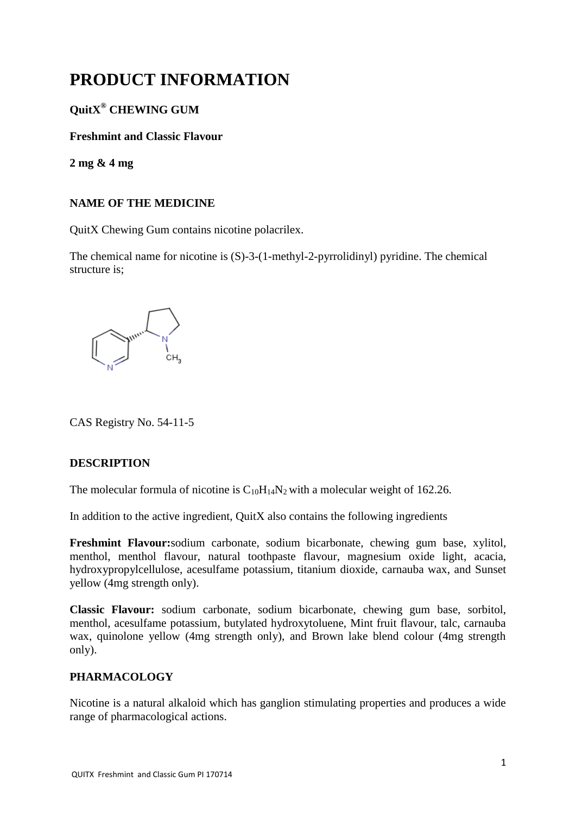# **PRODUCT INFORMATION**

# **QuitX ® CHEWING GUM**

# **Freshmint and Classic Flavour**

**2 mg & 4 mg**

# **NAME OF THE MEDICINE**

QuitX Chewing Gum contains nicotine polacrilex.

The chemical name for nicotine is (S)-3-(1-methyl-2-pyrrolidinyl) pyridine. The chemical structure is;



CAS Registry No. 54-11-5

# **DESCRIPTION**

The molecular formula of nicotine is  $C_{10}H_{14}N_2$  with a molecular weight of 162.26.

In addition to the active ingredient, QuitX also contains the following ingredients

**Freshmint Flavour:**sodium carbonate, sodium bicarbonate, chewing gum base, xylitol, menthol, menthol flavour, natural toothpaste flavour, magnesium oxide light, acacia, hydroxypropylcellulose, acesulfame potassium, titanium dioxide, carnauba wax, and Sunset yellow (4mg strength only).

**Classic Flavour:** sodium carbonate, sodium bicarbonate, chewing gum base, sorbitol, menthol, acesulfame potassium, butylated hydroxytoluene, Mint fruit flavour, talc, carnauba wax, quinolone yellow (4mg strength only), and Brown lake blend colour (4mg strength only).

# **PHARMACOLOGY**

Nicotine is a natural alkaloid which has ganglion stimulating properties and produces a wide range of pharmacological actions.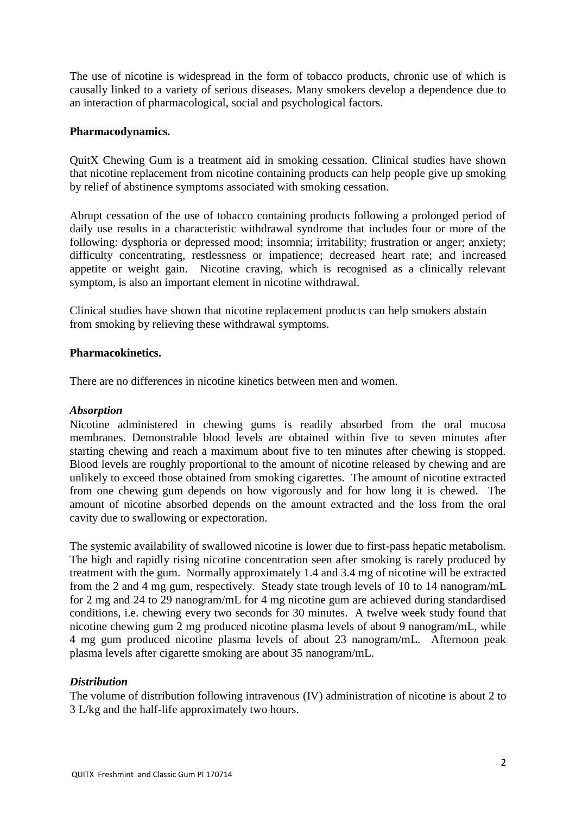The use of nicotine is widespread in the form of tobacco products, chronic use of which is causally linked to a variety of serious diseases. Many smokers develop a dependence due to an interaction of pharmacological, social and psychological factors.

## **Pharmacodynamics***.*

QuitX Chewing Gum is a treatment aid in smoking cessation. Clinical studies have shown that nicotine replacement from nicotine containing products can help people give up smoking by relief of abstinence symptoms associated with smoking cessation.

Abrupt cessation of the use of tobacco containing products following a prolonged period of daily use results in a characteristic withdrawal syndrome that includes four or more of the following: dysphoria or depressed mood; insomnia; irritability; frustration or anger; anxiety; difficulty concentrating, restlessness or impatience; decreased heart rate; and increased appetite or weight gain. Nicotine craving, which is recognised as a clinically relevant symptom, is also an important element in nicotine withdrawal.

Clinical studies have shown that nicotine replacement products can help smokers abstain from smoking by relieving these withdrawal symptoms.

#### **Pharmacokinetics.**

There are no differences in nicotine kinetics between men and women.

#### *Absorption*

Nicotine administered in chewing gums is readily absorbed from the oral mucosa membranes. Demonstrable blood levels are obtained within five to seven minutes after starting chewing and reach a maximum about five to ten minutes after chewing is stopped. Blood levels are roughly proportional to the amount of nicotine released by chewing and are unlikely to exceed those obtained from smoking cigarettes. The amount of nicotine extracted from one chewing gum depends on how vigorously and for how long it is chewed. The amount of nicotine absorbed depends on the amount extracted and the loss from the oral cavity due to swallowing or expectoration.

The systemic availability of swallowed nicotine is lower due to first-pass hepatic metabolism. The high and rapidly rising nicotine concentration seen after smoking is rarely produced by treatment with the gum. Normally approximately 1.4 and 3.4 mg of nicotine will be extracted from the 2 and 4 mg gum, respectively. Steady state trough levels of 10 to 14 nanogram/mL for 2 mg and 24 to 29 nanogram/mL for 4 mg nicotine gum are achieved during standardised conditions, i.e. chewing every two seconds for 30 minutes. A twelve week study found that nicotine chewing gum 2 mg produced nicotine plasma levels of about 9 nanogram/mL, while 4 mg gum produced nicotine plasma levels of about 23 nanogram/mL. Afternoon peak plasma levels after cigarette smoking are about 35 nanogram/mL.

# *Distribution*

The volume of distribution following intravenous (IV) administration of nicotine is about 2 to 3 L/kg and the half-life approximately two hours.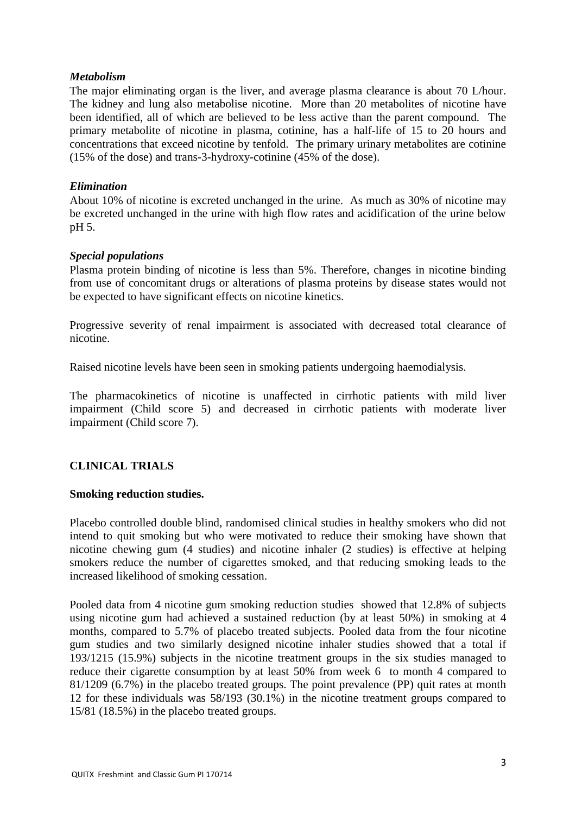#### *Metabolism*

The major eliminating organ is the liver, and average plasma clearance is about 70 L/hour. The kidney and lung also metabolise nicotine. More than 20 metabolites of nicotine have been identified, all of which are believed to be less active than the parent compound. The primary metabolite of nicotine in plasma, cotinine, has a half-life of 15 to 20 hours and concentrations that exceed nicotine by tenfold. The primary urinary metabolites are cotinine (15% of the dose) and trans-3-hydroxy-cotinine (45% of the dose).

## *Elimination*

About 10% of nicotine is excreted unchanged in the urine. As much as 30% of nicotine may be excreted unchanged in the urine with high flow rates and acidification of the urine below pH 5.

## *Special populations*

Plasma protein binding of nicotine is less than 5%. Therefore, changes in nicotine binding from use of concomitant drugs or alterations of plasma proteins by disease states would not be expected to have significant effects on nicotine kinetics.

Progressive severity of renal impairment is associated with decreased total clearance of nicotine.

Raised nicotine levels have been seen in smoking patients undergoing haemodialysis.

The pharmacokinetics of nicotine is unaffected in cirrhotic patients with mild liver impairment (Child score 5) and decreased in cirrhotic patients with moderate liver impairment (Child score 7).

# **CLINICAL TRIALS**

#### **Smoking reduction studies.**

Placebo controlled double blind, randomised clinical studies in healthy smokers who did not intend to quit smoking but who were motivated to reduce their smoking have shown that nicotine chewing gum (4 studies) and nicotine inhaler (2 studies) is effective at helping smokers reduce the number of cigarettes smoked, and that reducing smoking leads to the increased likelihood of smoking cessation.

Pooled data from 4 nicotine gum smoking reduction studies showed that 12.8% of subjects using nicotine gum had achieved a sustained reduction (by at least 50%) in smoking at 4 months, compared to 5.7% of placebo treated subjects. Pooled data from the four nicotine gum studies and two similarly designed nicotine inhaler studies showed that a total if 193/1215 (15.9%) subjects in the nicotine treatment groups in the six studies managed to reduce their cigarette consumption by at least 50% from week 6 to month 4 compared to 81/1209 (6.7%) in the placebo treated groups. The point prevalence (PP) quit rates at month 12 for these individuals was 58/193 (30.1%) in the nicotine treatment groups compared to 15/81 (18.5%) in the placebo treated groups.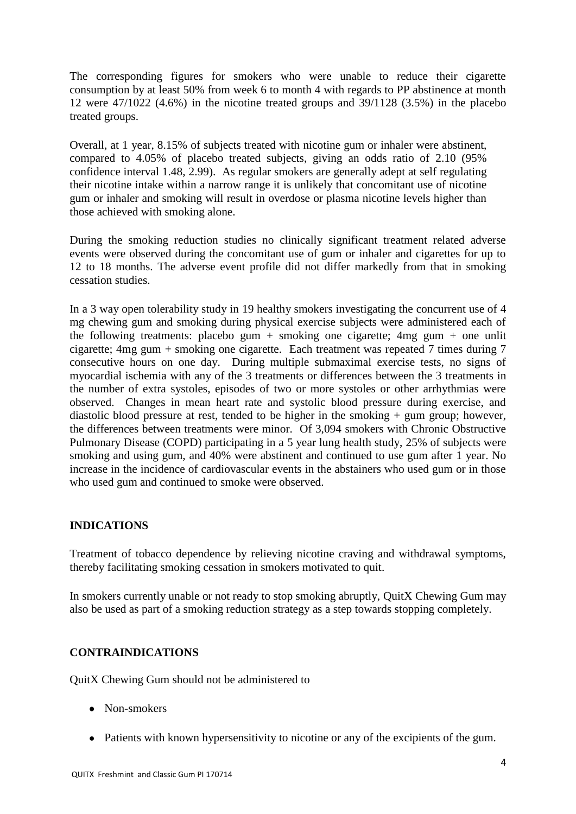The corresponding figures for smokers who were unable to reduce their cigarette consumption by at least 50% from week 6 to month 4 with regards to PP abstinence at month 12 were 47/1022 (4.6%) in the nicotine treated groups and 39/1128 (3.5%) in the placebo treated groups.

Overall, at 1 year, 8.15% of subjects treated with nicotine gum or inhaler were abstinent, compared to 4.05% of placebo treated subjects, giving an odds ratio of 2.10 (95% confidence interval 1.48, 2.99). As regular smokers are generally adept at self regulating their nicotine intake within a narrow range it is unlikely that concomitant use of nicotine gum or inhaler and smoking will result in overdose or plasma nicotine levels higher than those achieved with smoking alone.

During the smoking reduction studies no clinically significant treatment related adverse events were observed during the concomitant use of gum or inhaler and cigarettes for up to 12 to 18 months. The adverse event profile did not differ markedly from that in smoking cessation studies.

In a 3 way open tolerability study in 19 healthy smokers investigating the concurrent use of 4 mg chewing gum and smoking during physical exercise subjects were administered each of the following treatments: placebo gum  $+$  smoking one cigarette: 4mg gum  $+$  one unlit cigarette; 4mg gum + smoking one cigarette. Each treatment was repeated 7 times during 7 consecutive hours on one day. During multiple submaximal exercise tests, no signs of myocardial ischemia with any of the 3 treatments or differences between the 3 treatments in the number of extra systoles, episodes of two or more systoles or other arrhythmias were observed. Changes in mean heart rate and systolic blood pressure during exercise, and diastolic blood pressure at rest, tended to be higher in the smoking + gum group; however, the differences between treatments were minor. Of 3,094 smokers with Chronic Obstructive Pulmonary Disease (COPD) participating in a 5 year lung health study, 25% of subjects were smoking and using gum, and 40% were abstinent and continued to use gum after 1 year. No increase in the incidence of cardiovascular events in the abstainers who used gum or in those who used gum and continued to smoke were observed.

# **INDICATIONS**

Treatment of tobacco dependence by relieving nicotine craving and withdrawal symptoms, thereby facilitating smoking cessation in smokers motivated to quit.

In smokers currently unable or not ready to stop smoking abruptly, QuitX Chewing Gum may also be used as part of a smoking reduction strategy as a step towards stopping completely.

#### **CONTRAINDICATIONS**

QuitX Chewing Gum should not be administered to

- Non-smokers
- Patients with known hypersensitivity to nicotine or any of the excipients of the gum.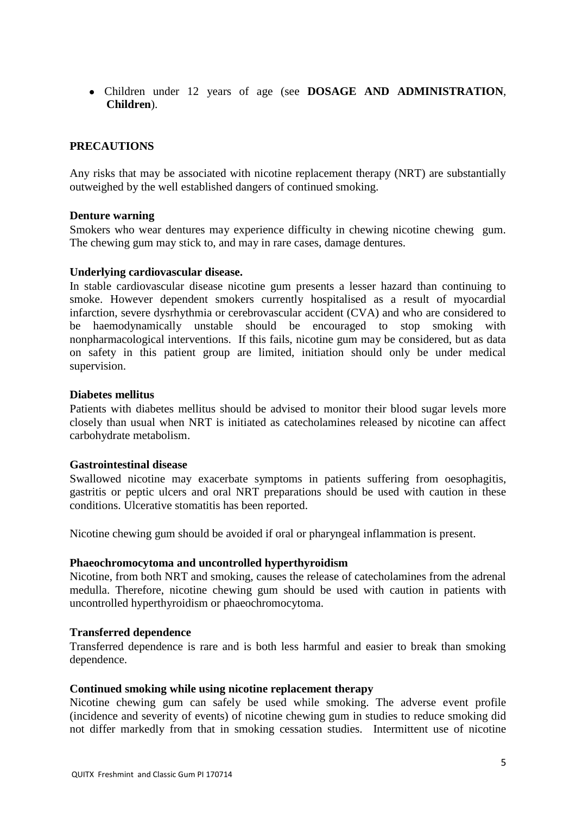Children under 12 years of age (see **DOSAGE AND ADMINISTRATION**, **Children**).

#### **PRECAUTIONS**

Any risks that may be associated with nicotine replacement therapy (NRT) are substantially outweighed by the well established dangers of continued smoking.

#### **Denture warning**

Smokers who wear dentures may experience difficulty in chewing nicotine chewing gum. The chewing gum may stick to, and may in rare cases, damage dentures.

#### **Underlying cardiovascular disease.**

In stable cardiovascular disease nicotine gum presents a lesser hazard than continuing to smoke. However dependent smokers currently hospitalised as a result of myocardial infarction, severe dysrhythmia or cerebrovascular accident (CVA) and who are considered to be haemodynamically unstable should be encouraged to stop smoking with nonpharmacological interventions. If this fails, nicotine gum may be considered, but as data on safety in this patient group are limited, initiation should only be under medical supervision.

#### **Diabetes mellitus**

Patients with diabetes mellitus should be advised to monitor their blood sugar levels more closely than usual when NRT is initiated as catecholamines released by nicotine can affect carbohydrate metabolism.

#### **Gastrointestinal disease**

Swallowed nicotine may exacerbate symptoms in patients suffering from oesophagitis, gastritis or peptic ulcers and oral NRT preparations should be used with caution in these conditions. Ulcerative stomatitis has been reported.

Nicotine chewing gum should be avoided if oral or pharyngeal inflammation is present.

#### **Phaeochromocytoma and uncontrolled hyperthyroidism**

Nicotine, from both NRT and smoking, causes the release of catecholamines from the adrenal medulla. Therefore, nicotine chewing gum should be used with caution in patients with uncontrolled hyperthyroidism or phaeochromocytoma.

#### **Transferred dependence**

Transferred dependence is rare and is both less harmful and easier to break than smoking dependence.

#### **Continued smoking while using nicotine replacement therapy**

Nicotine chewing gum can safely be used while smoking. The adverse event profile (incidence and severity of events) of nicotine chewing gum in studies to reduce smoking did not differ markedly from that in smoking cessation studies. Intermittent use of nicotine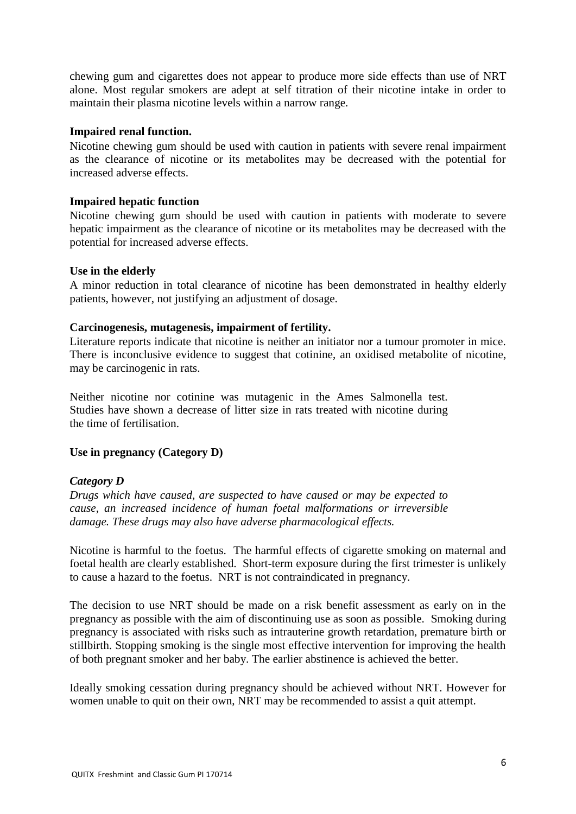chewing gum and cigarettes does not appear to produce more side effects than use of NRT alone. Most regular smokers are adept at self titration of their nicotine intake in order to maintain their plasma nicotine levels within a narrow range.

#### **Impaired renal function.**

Nicotine chewing gum should be used with caution in patients with severe renal impairment as the clearance of nicotine or its metabolites may be decreased with the potential for increased adverse effects.

## **Impaired hepatic function**

Nicotine chewing gum should be used with caution in patients with moderate to severe hepatic impairment as the clearance of nicotine or its metabolites may be decreased with the potential for increased adverse effects.

#### **Use in the elderly**

A minor reduction in total clearance of nicotine has been demonstrated in healthy elderly patients, however, not justifying an adjustment of dosage.

## **Carcinogenesis, mutagenesis, impairment of fertility.**

Literature reports indicate that nicotine is neither an initiator nor a tumour promoter in mice. There is inconclusive evidence to suggest that cotinine, an oxidised metabolite of nicotine, may be carcinogenic in rats.

Neither nicotine nor cotinine was mutagenic in the Ames Salmonella test. Studies have shown a decrease of litter size in rats treated with nicotine during the time of fertilisation.

#### **Use in pregnancy (Category D)**

#### *Category D*

*Drugs which have caused, are suspected to have caused or may be expected to cause, an increased incidence of human foetal malformations or irreversible damage. These drugs may also have adverse pharmacological effects.* 

Nicotine is harmful to the foetus. The harmful effects of cigarette smoking on maternal and foetal health are clearly established. Short-term exposure during the first trimester is unlikely to cause a hazard to the foetus. NRT is not contraindicated in pregnancy.

The decision to use NRT should be made on a risk benefit assessment as early on in the pregnancy as possible with the aim of discontinuing use as soon as possible. Smoking during pregnancy is associated with risks such as intrauterine growth retardation, premature birth or stillbirth. Stopping smoking is the single most effective intervention for improving the health of both pregnant smoker and her baby. The earlier abstinence is achieved the better.

Ideally smoking cessation during pregnancy should be achieved without NRT. However for women unable to quit on their own, NRT may be recommended to assist a quit attempt.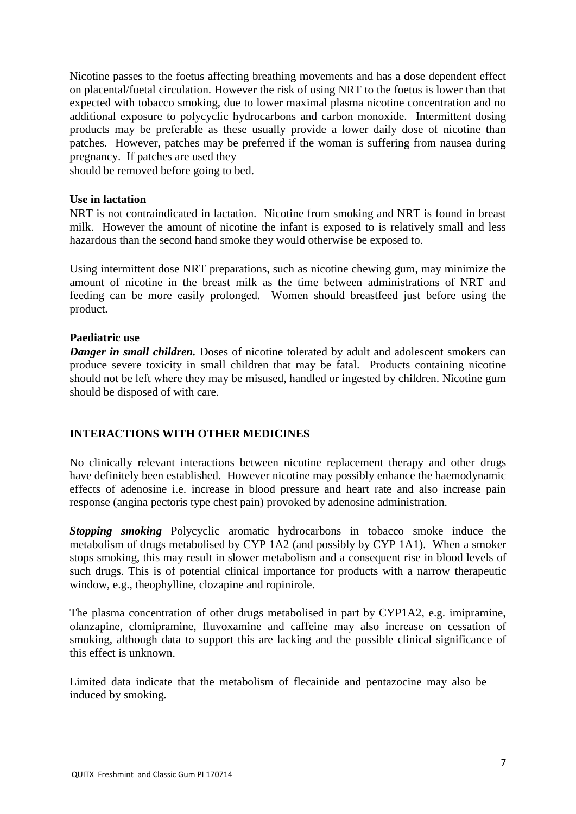Nicotine passes to the foetus affecting breathing movements and has a dose dependent effect on placental/foetal circulation. However the risk of using NRT to the foetus is lower than that expected with tobacco smoking, due to lower maximal plasma nicotine concentration and no additional exposure to polycyclic hydrocarbons and carbon monoxide. Intermittent dosing products may be preferable as these usually provide a lower daily dose of nicotine than patches. However, patches may be preferred if the woman is suffering from nausea during pregnancy. If patches are used they

should be removed before going to bed.

#### **Use in lactation**

NRT is not contraindicated in lactation. Nicotine from smoking and NRT is found in breast milk. However the amount of nicotine the infant is exposed to is relatively small and less hazardous than the second hand smoke they would otherwise be exposed to.

Using intermittent dose NRT preparations, such as nicotine chewing gum, may minimize the amount of nicotine in the breast milk as the time between administrations of NRT and feeding can be more easily prolonged. Women should breastfeed just before using the product.

#### **Paediatric use**

*Danger in small children.* Doses of nicotine tolerated by adult and adolescent smokers can produce severe toxicity in small children that may be fatal. Products containing nicotine should not be left where they may be misused, handled or ingested by children. Nicotine gum should be disposed of with care.

#### **INTERACTIONS WITH OTHER MEDICINES**

No clinically relevant interactions between nicotine replacement therapy and other drugs have definitely been established. However nicotine may possibly enhance the haemodynamic effects of adenosine i.e. increase in blood pressure and heart rate and also increase pain response (angina pectoris type chest pain) provoked by adenosine administration.

*Stopping smoking* Polycyclic aromatic hydrocarbons in tobacco smoke induce the metabolism of drugs metabolised by CYP 1A2 (and possibly by CYP 1A1). When a smoker stops smoking, this may result in slower metabolism and a consequent rise in blood levels of such drugs. This is of potential clinical importance for products with a narrow therapeutic window, e.g., theophylline, clozapine and ropinirole.

The plasma concentration of other drugs metabolised in part by CYP1A2, e.g. imipramine, olanzapine, clomipramine, fluvoxamine and caffeine may also increase on cessation of smoking, although data to support this are lacking and the possible clinical significance of this effect is unknown.

Limited data indicate that the metabolism of flecainide and pentazocine may also be induced by smoking.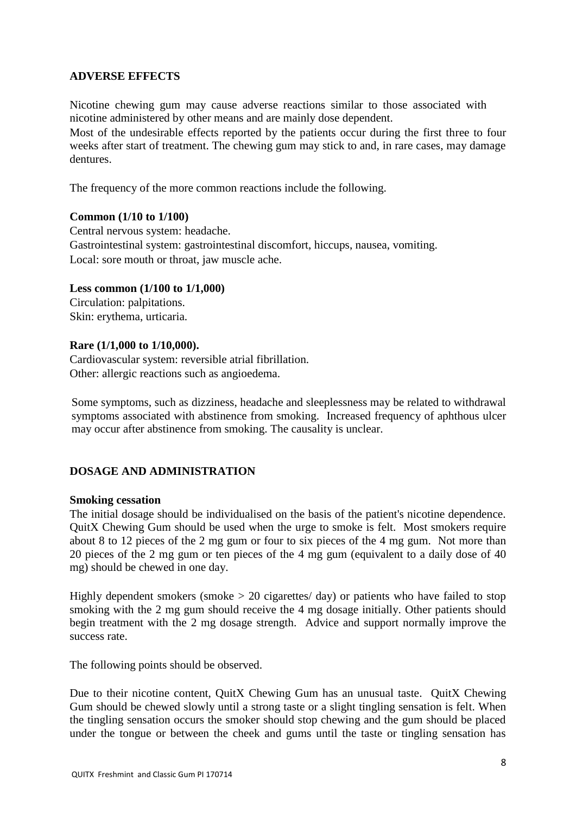## **ADVERSE EFFECTS**

Nicotine chewing gum may cause adverse reactions similar to those associated with nicotine administered by other means and are mainly dose dependent.

Most of the undesirable effects reported by the patients occur during the first three to four weeks after start of treatment. The chewing gum may stick to and, in rare cases, may damage dentures.

The frequency of the more common reactions include the following.

#### **Common (1/10 to 1/100)**

Central nervous system: headache. Gastrointestinal system: gastrointestinal discomfort, hiccups, nausea, vomiting. Local: sore mouth or throat, jaw muscle ache.

## **Less common (1/100 to 1/1,000)**

Circulation: palpitations. Skin: erythema, urticaria.

#### **Rare (1/1,000 to 1/10,000).**

Cardiovascular system: reversible atrial fibrillation. Other: allergic reactions such as angioedema.

Some symptoms, such as dizziness, headache and sleeplessness may be related to withdrawal symptoms associated with abstinence from smoking. Increased frequency of aphthous ulcer may occur after abstinence from smoking. The causality is unclear.

# **DOSAGE AND ADMINISTRATION**

#### **Smoking cessation**

The initial dosage should be individualised on the basis of the patient's nicotine dependence. QuitX Chewing Gum should be used when the urge to smoke is felt. Most smokers require about 8 to 12 pieces of the 2 mg gum or four to six pieces of the 4 mg gum. Not more than 20 pieces of the 2 mg gum or ten pieces of the 4 mg gum (equivalent to a daily dose of 40 mg) should be chewed in one day.

Highly dependent smokers (smoke  $> 20$  cigarettes/day) or patients who have failed to stop smoking with the 2 mg gum should receive the 4 mg dosage initially. Other patients should begin treatment with the 2 mg dosage strength. Advice and support normally improve the success rate.

The following points should be observed.

Due to their nicotine content, QuitX Chewing Gum has an unusual taste. QuitX Chewing Gum should be chewed slowly until a strong taste or a slight tingling sensation is felt. When the tingling sensation occurs the smoker should stop chewing and the gum should be placed under the tongue or between the cheek and gums until the taste or tingling sensation has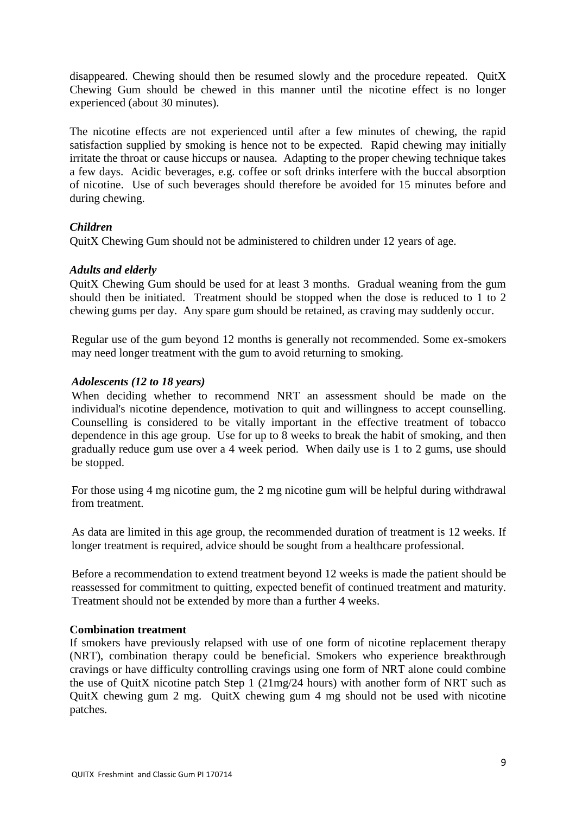disappeared. Chewing should then be resumed slowly and the procedure repeated. QuitX Chewing Gum should be chewed in this manner until the nicotine effect is no longer experienced (about 30 minutes).

The nicotine effects are not experienced until after a few minutes of chewing, the rapid satisfaction supplied by smoking is hence not to be expected. Rapid chewing may initially irritate the throat or cause hiccups or nausea. Adapting to the proper chewing technique takes a few days. Acidic beverages, e.g. coffee or soft drinks interfere with the buccal absorption of nicotine. Use of such beverages should therefore be avoided for 15 minutes before and during chewing.

## *Children*

QuitX Chewing Gum should not be administered to children under 12 years of age.

# *Adults and elderly*

QuitX Chewing Gum should be used for at least 3 months. Gradual weaning from the gum should then be initiated. Treatment should be stopped when the dose is reduced to 1 to 2 chewing gums per day. Any spare gum should be retained, as craving may suddenly occur.

Regular use of the gum beyond 12 months is generally not recommended. Some ex-smokers may need longer treatment with the gum to avoid returning to smoking.

## *Adolescents (12 to 18 years)*

When deciding whether to recommend NRT an assessment should be made on the individual's nicotine dependence, motivation to quit and willingness to accept counselling. Counselling is considered to be vitally important in the effective treatment of tobacco dependence in this age group. Use for up to 8 weeks to break the habit of smoking, and then gradually reduce gum use over a 4 week period. When daily use is 1 to 2 gums, use should be stopped.

For those using 4 mg nicotine gum, the 2 mg nicotine gum will be helpful during withdrawal from treatment.

As data are limited in this age group, the recommended duration of treatment is 12 weeks. If longer treatment is required, advice should be sought from a healthcare professional.

Before a recommendation to extend treatment beyond 12 weeks is made the patient should be reassessed for commitment to quitting, expected benefit of continued treatment and maturity. Treatment should not be extended by more than a further 4 weeks.

#### **Combination treatment**

If smokers have previously relapsed with use of one form of nicotine replacement therapy (NRT), combination therapy could be beneficial. Smokers who experience breakthrough cravings or have difficulty controlling cravings using one form of NRT alone could combine the use of QuitX nicotine patch Step 1 (21mg/24 hours) with another form of NRT such as QuitX chewing gum 2 mg. QuitX chewing gum 4 mg should not be used with nicotine patches.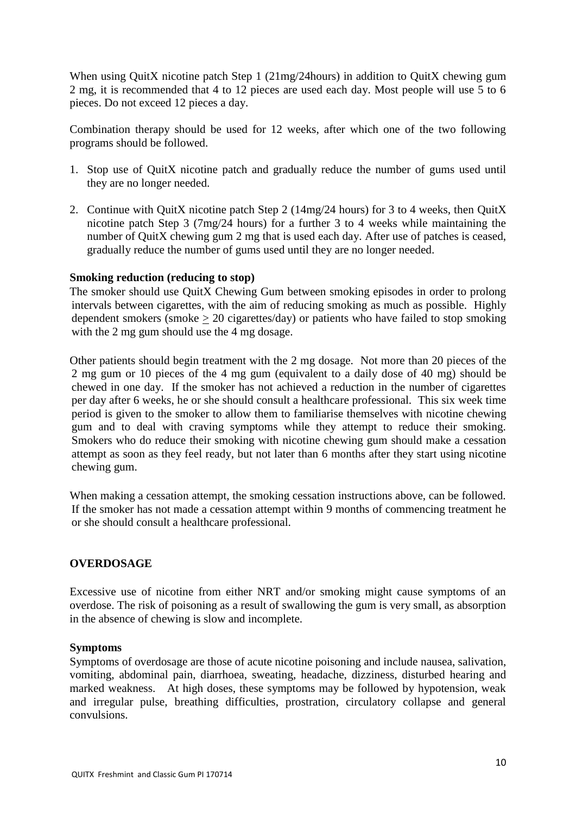When using QuitX nicotine patch Step 1 (21mg/24hours) in addition to QuitX chewing gum 2 mg, it is recommended that 4 to 12 pieces are used each day. Most people will use 5 to 6 pieces. Do not exceed 12 pieces a day.

Combination therapy should be used for 12 weeks, after which one of the two following programs should be followed.

- 1. Stop use of QuitX nicotine patch and gradually reduce the number of gums used until they are no longer needed.
- 2. Continue with QuitX nicotine patch Step 2 (14mg/24 hours) for 3 to 4 weeks, then QuitX nicotine patch Step 3 (7mg/24 hours) for a further 3 to 4 weeks while maintaining the number of QuitX chewing gum 2 mg that is used each day. After use of patches is ceased, gradually reduce the number of gums used until they are no longer needed.

#### **Smoking reduction (reducing to stop)**

The smoker should use QuitX Chewing Gum between smoking episodes in order to prolong intervals between cigarettes, with the aim of reducing smoking as much as possible. Highly dependent smokers (smoke  $> 20$  cigarettes/day) or patients who have failed to stop smoking with the 2 mg gum should use the 4 mg dosage.

Other patients should begin treatment with the 2 mg dosage. Not more than 20 pieces of the 2 mg gum or 10 pieces of the 4 mg gum (equivalent to a daily dose of 40 mg) should be chewed in one day. If the smoker has not achieved a reduction in the number of cigarettes per day after 6 weeks, he or she should consult a healthcare professional. This six week time period is given to the smoker to allow them to familiarise themselves with nicotine chewing gum and to deal with craving symptoms while they attempt to reduce their smoking. Smokers who do reduce their smoking with nicotine chewing gum should make a cessation attempt as soon as they feel ready, but not later than 6 months after they start using nicotine chewing gum.

When making a cessation attempt, the smoking cessation instructions above, can be followed. If the smoker has not made a cessation attempt within 9 months of commencing treatment he or she should consult a healthcare professional.

#### **OVERDOSAGE**

Excessive use of nicotine from either NRT and/or smoking might cause symptoms of an overdose. The risk of poisoning as a result of swallowing the gum is very small, as absorption in the absence of chewing is slow and incomplete.

#### **Symptoms**

Symptoms of overdosage are those of acute nicotine poisoning and include nausea, salivation, vomiting, abdominal pain, diarrhoea, sweating, headache, dizziness, disturbed hearing and marked weakness. At high doses, these symptoms may be followed by hypotension, weak and irregular pulse, breathing difficulties, prostration, circulatory collapse and general convulsions.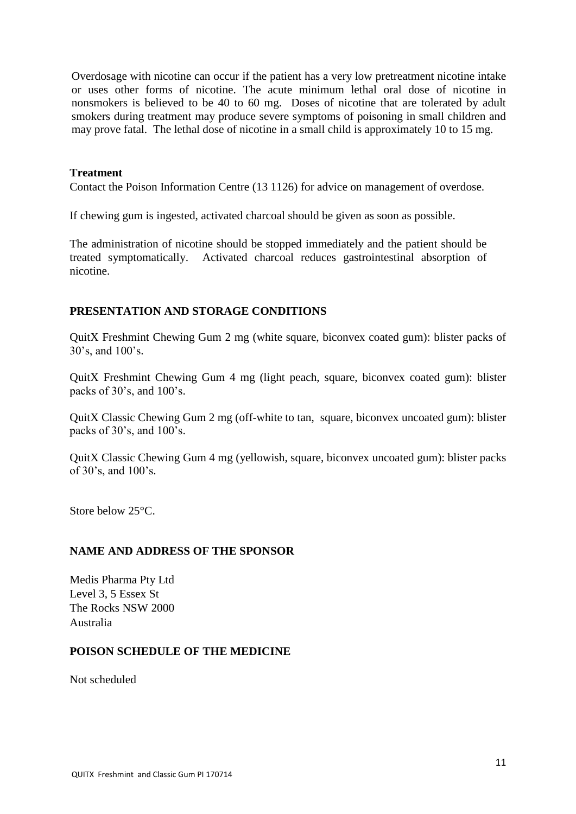Overdosage with nicotine can occur if the patient has a very low pretreatment nicotine intake or uses other forms of nicotine. The acute minimum lethal oral dose of nicotine in nonsmokers is believed to be 40 to 60 mg. Doses of nicotine that are tolerated by adult smokers during treatment may produce severe symptoms of poisoning in small children and may prove fatal. The lethal dose of nicotine in a small child is approximately 10 to 15 mg.

#### **Treatment**

Contact the Poison Information Centre (13 1126) for advice on management of overdose.

If chewing gum is ingested, activated charcoal should be given as soon as possible.

The administration of nicotine should be stopped immediately and the patient should be treated symptomatically. Activated charcoal reduces gastrointestinal absorption of nicotine.

#### **PRESENTATION AND STORAGE CONDITIONS**

QuitX Freshmint Chewing Gum 2 mg (white square, biconvex coated gum): blister packs of 30's, and 100's.

QuitX Freshmint Chewing Gum 4 mg (light peach, square, biconvex coated gum): blister packs of 30's, and 100's.

QuitX Classic Chewing Gum 2 mg (off-white to tan, square, biconvex uncoated gum): blister packs of 30's, and 100's.

QuitX Classic Chewing Gum 4 mg (yellowish, square, biconvex uncoated gum): blister packs of 30's, and 100's.

Store below 25°C.

#### **NAME AND ADDRESS OF THE SPONSOR**

Medis Pharma Pty Ltd Level 3, 5 Essex St The Rocks NSW 2000 Australia

#### **POISON SCHEDULE OF THE MEDICINE**

Not scheduled